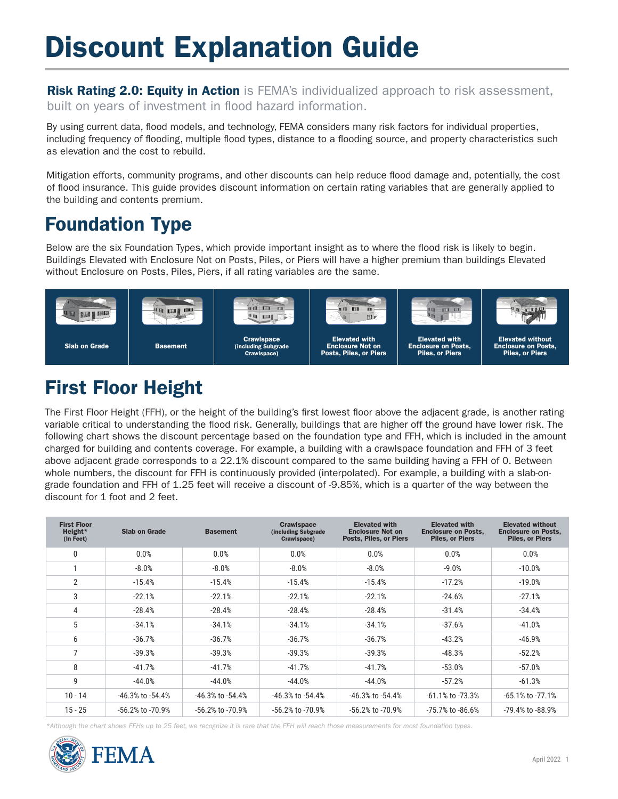# Discount Explanation Guide

**Risk Rating 2.0: Equity in Action** is FEMA's individualized approach to risk assessment, built on years of investment in flood hazard information.

By using current data, food models, and technology, FEMA considers many risk factors for individual properties, including frequency of flooding, multiple flood types, distance to a flooding source, and property characteristics such as elevation and the cost to rebuild.

Mitigation efforts, community programs, and other discounts can help reduce food damage and, potentially, the cost of food insurance. This guide provides discount information on certain rating variables that are generally applied to the building and contents premium.

## Foundation Type

Below are the six Foundation Types, which provide important insight as to where the food risk is likely to begin. Buildings Elevated with Enclosure Not on Posts, Piles, or Piers will have a higher premium than buildings Elevated without Enclosure on Posts, Piles, Piers, if all rating variables are the same.



# First Floor Height

The First Floor Height (FFH), or the height of the building's frst lowest foor above the adjacent grade, is another rating variable critical to understanding the food risk. Generally, buildings that are higher off the ground have lower risk. The following chart shows the discount percentage based on the foundation type and FFH, which is included in the amount charged for building and contents coverage. For example, a building with a crawlspace foundation and FFH of 3 feet above adjacent grade corresponds to a 22.1% discount compared to the same building having a FFH of 0. Between whole numbers, the discount for FFH is continuously provided (interpolated). For example, a building with a slab-ongrade foundation and FFH of 1.25 feet will receive a discount of -9.85%, which is a quarter of the way between the discount for 1 foot and 2 feet.

| <b>First Floor</b><br>Height*<br>(In Feet) | <b>Slab on Grade</b>   | <b>Basement</b>        | <b>Crawlspace</b><br>(including Subgrade<br>Crawlspace) | <b>Elevated with</b><br><b>Enclosure Not on</b><br><b>Posts, Piles, or Piers</b> | <b>Elevated with</b><br><b>Enclosure on Posts,</b><br><b>Piles, or Piers</b> | <b>Elevated without</b><br><b>Enclosure on Posts,</b><br><b>Piles, or Piers</b> |
|--------------------------------------------|------------------------|------------------------|---------------------------------------------------------|----------------------------------------------------------------------------------|------------------------------------------------------------------------------|---------------------------------------------------------------------------------|
| 0                                          | 0.0%                   | 0.0%                   | 0.0%                                                    | 0.0%                                                                             | 0.0%                                                                         | 0.0%                                                                            |
|                                            | $-8.0%$                | $-8.0%$                | $-8.0%$                                                 | $-8.0%$                                                                          | $-9.0%$                                                                      | $-10.0%$                                                                        |
| $\overline{2}$                             | $-15.4%$               | $-15.4%$               | $-15.4%$                                                | $-15.4%$                                                                         | $-17.2%$                                                                     | $-19.0%$                                                                        |
| 3                                          | $-22.1%$               | $-22.1%$               | $-22.1%$                                                | $-22.1%$                                                                         | $-24.6%$                                                                     | $-27.1%$                                                                        |
| 4                                          | $-28.4%$               | $-28.4%$               | $-28.4%$                                                | $-28.4%$                                                                         | $-31.4%$                                                                     | $-34.4%$                                                                        |
| 5                                          | $-34.1%$               | $-34.1%$               | $-34.1%$                                                | $-34.1%$                                                                         | $-37.6%$                                                                     | $-41.0%$                                                                        |
| 6                                          | $-36.7%$               | $-36.7%$               | $-36.7%$                                                | $-36.7%$                                                                         | $-43.2%$                                                                     | $-46.9%$                                                                        |
| 7                                          | $-39.3%$               | $-39.3%$               | $-39.3%$                                                | $-39.3%$                                                                         | $-48.3%$                                                                     | $-52.2%$                                                                        |
| 8                                          | $-41.7%$               | $-41.7%$               | $-41.7%$                                                | $-41.7%$                                                                         | $-53.0%$                                                                     | $-57.0%$                                                                        |
| 9                                          | $-44.0%$               | $-44.0%$               | $-44.0%$                                                | $-44.0%$                                                                         | $-57.2%$                                                                     | $-61.3%$                                                                        |
| $10 - 14$                                  | $-46.3\%$ to $-54.4\%$ | $-46.3\%$ to $-54.4\%$ | $-46.3\%$ to $-54.4\%$                                  | $-46.3\%$ to $-54.4\%$                                                           | $-61.1\%$ to $-73.3\%$                                                       | $-65.1\%$ to $-77.1\%$                                                          |
| $15 - 25$                                  | $-56.2\%$ to $-70.9\%$ | $-56.2\%$ to $-70.9\%$ | $-56.2\%$ to $-70.9\%$                                  | -56.2% to -70.9%                                                                 | $-75.7%$ to $-86.6%$                                                         | -79.4% to -88.9%                                                                |

*\*Although the chart shows FFHs up to 25 feet, we recognize it is rare that the FFH will reach those measurements for most foundation types.* 

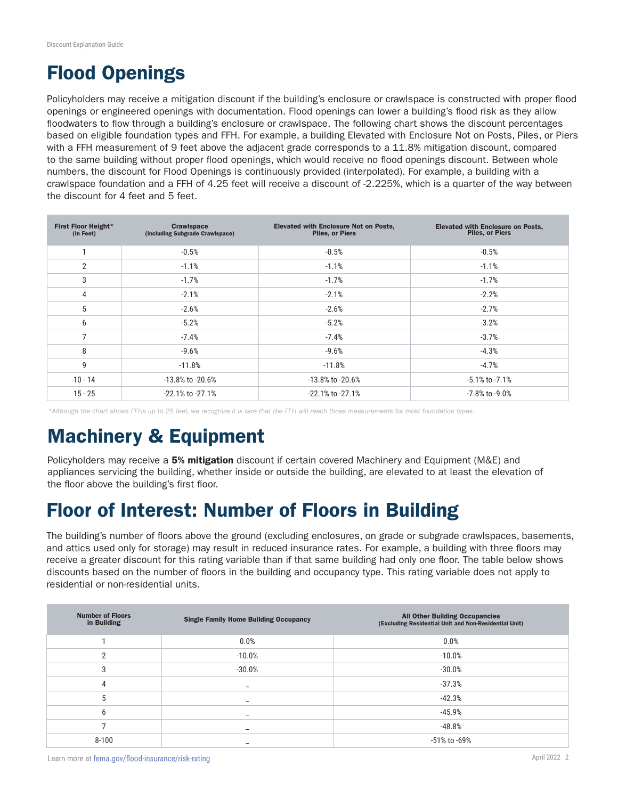### Flood Openings

Policyholders may receive a mitigation discount if the building's enclosure or crawlspace is constructed with proper food openings or engineered openings with documentation. Flood openings can lower a building's food risk as they allow floodwaters to flow through a building's enclosure or crawlspace. The following chart shows the discount percentages based on eligible foundation types and FFH. For example, a building Elevated with Enclosure Not on Posts, Piles, or Piers with a FFH measurement of 9 feet above the adjacent grade corresponds to a 11.8% mitigation discount, compared to the same building without proper flood openings, which would receive no flood openings discount. Between whole numbers, the discount for Flood Openings is continuously provided (interpolated). For example, a building with a crawlspace foundation and a FFH of 4.25 feet will receive a discount of -2.225%, which is a quarter of the way between the discount for 4 feet and 5 feet.

| First Floor Height*<br>(In Feet) | <b>Crawlspace</b><br>(including Subgrade Crawlspace) | <b>Elevated with Enclosure Not on Posts,</b><br><b>Piles, or Piers</b> | <b>Elevated with Enclosure on Posts,</b><br><b>Piles, or Piers</b> |
|----------------------------------|------------------------------------------------------|------------------------------------------------------------------------|--------------------------------------------------------------------|
|                                  | $-0.5%$                                              | $-0.5%$                                                                | $-0.5%$                                                            |
| $\mathfrak{p}$                   | $-1.1%$                                              | $-1.1%$                                                                | $-1.1%$                                                            |
| 3                                | $-1.7%$                                              | $-1.7%$                                                                | $-1.7%$                                                            |
| 4                                | $-2.1%$                                              | $-2.1%$                                                                | $-2.2%$                                                            |
| 5                                | $-2.6%$                                              | $-2.6%$                                                                | $-2.7%$                                                            |
| 6                                | $-5.2%$                                              | $-5.2%$                                                                | $-3.2%$                                                            |
| $\overline{ }$                   | $-7.4%$                                              | $-7.4%$                                                                | $-3.7%$                                                            |
| 8                                | $-9.6%$                                              | $-9.6%$                                                                | $-4.3%$                                                            |
| 9                                | $-11.8%$                                             | $-11.8%$                                                               | $-4.7%$                                                            |
| $10 - 14$                        | -13.8% to -20.6%                                     | -13.8% to -20.6%                                                       | $-5.1\%$ to $-7.1\%$                                               |
| $15 - 25$                        | -22.1% to -27.1%                                     | $-22.1\%$ to $-27.1\%$                                                 | -7.8% to -9.0%                                                     |

*\*Although the chart shows FFHs up to 25 feet, we recognize it is rare that the FFH will reach those measurements for most foundation types.* 

#### Machinery & Equipment

Policyholders may receive a 5% mitigation discount if certain covered Machinery and Equipment (M&E) and appliances servicing the building, whether inside or outside the building, are elevated to at least the elevation of the floor above the building's first floor.

#### Floor of Interest: Number of Floors in Building

The building's number of foors above the ground (excluding enclosures, on grade or subgrade crawlspaces, basements, and attics used only for storage) may result in reduced insurance rates. For example, a building with three foors may receive a greater discount for this rating variable than if that same building had only one foor. The table below shows discounts based on the number of foors in the building and occupancy type. This rating variable does not apply to residential or non-residential units.

| <b>Number of Floors</b><br>in Building | <b>Single Family Home Building Occupancy</b> | <b>All Other Building Occupancies</b><br>(Excluding Residential Unit and Non-Residential Unit) |
|----------------------------------------|----------------------------------------------|------------------------------------------------------------------------------------------------|
|                                        | 0.0%                                         | 0.0%                                                                                           |
| 2                                      | $-10.0%$                                     | $-10.0%$                                                                                       |
| 3                                      | $-30.0%$                                     | $-30.0%$                                                                                       |
| 4                                      | -                                            | $-37.3%$                                                                                       |
| 5                                      |                                              | $-42.3%$                                                                                       |
| 6                                      | -                                            | $-45.9%$                                                                                       |
|                                        | -                                            | $-48.8%$                                                                                       |
| $8 - 100$                              |                                              | -51% to -69%                                                                                   |